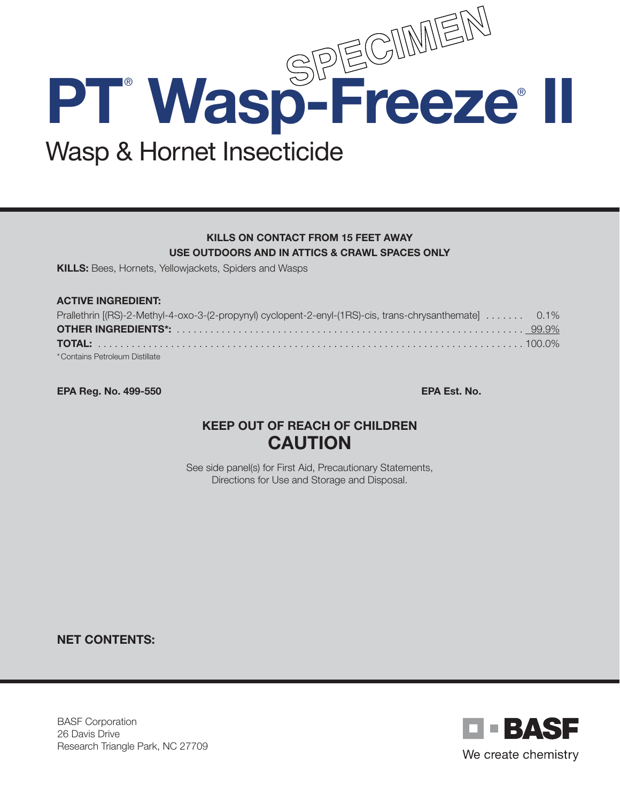

## KILLS ON CONTACT FROM 15 FEET AWAY USE OUTDOORS AND IN ATTICS & CRAWL SPACES ONLY

KILLS: Bees, Hornets, Yellowjackets, Spiders and Wasps

#### ACTIVE INGREDIENT:

| Prallethrin [(RS)-2-Methyl-4-oxo-3-(2-propynyl) cyclopent-2-enyl-(1RS)-cis, trans-chrysanthemate [ 0.1% |  |
|---------------------------------------------------------------------------------------------------------|--|
|                                                                                                         |  |
|                                                                                                         |  |
| * Contains Petroleum Distillate                                                                         |  |

EPA Reg. No. 499-550 EPA Est. No.

# KEEP OUT OF REACH OF CHILDREN CAUTION

See side panel(s) for First Aid, Precautionary Statements, Directions for Use and Storage and Disposal.

NET CONTENTS:

BASF Corporation 26 Davis Drive Research Triangle Park, NC 27709

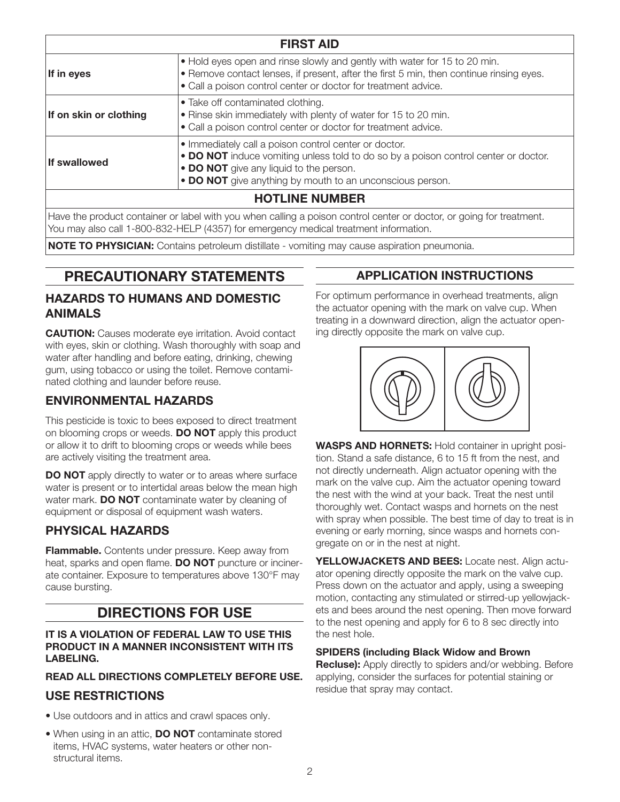| <b>FIRST AID</b>       |                                                                                                                                                                                                                                                      |
|------------------------|------------------------------------------------------------------------------------------------------------------------------------------------------------------------------------------------------------------------------------------------------|
| If in eyes             | . Hold eyes open and rinse slowly and gently with water for 15 to 20 min.<br>• Remove contact lenses, if present, after the first 5 min, then continue rinsing eyes.<br>• Call a poison control center or doctor for treatment advice.               |
| If on skin or clothing | • Take off contaminated clothing.<br>• Rinse skin immediately with plenty of water for 15 to 20 min.<br>• Call a poison control center or doctor for treatment advice.                                                                               |
| If swallowed           | • Immediately call a poison control center or doctor.<br>• DO NOT induce vomiting unless told to do so by a poison control center or doctor.<br>• DO NOT give any liquid to the person.<br>• DO NOT give anything by mouth to an unconscious person. |
| <b>HOTLINE NUMBER</b>  |                                                                                                                                                                                                                                                      |

Have the product container or label with you when calling a poison control center or doctor, or going for treatment. You may also call 1-800-832-HELP (4357) for emergency medical treatment information.

NOTE TO PHYSICIAN: Contains petroleum distillate - vomiting may cause aspiration pneumonia.

# PRECAUTIONARY STATEMENTS

## HAZARDS TO HUMANS AND DOMESTIC ANIMALS

**CAUTION:** Causes moderate eye irritation. Avoid contact with eyes, skin or clothing. Wash thoroughly with soap and water after handling and before eating, drinking, chewing gum, using tobacco or using the toilet. Remove contaminated clothing and launder before reuse.

## ENVIRONMENTAL HAZARDS

This pesticide is toxic to bees exposed to direct treatment on blooming crops or weeds. **DO NOT** apply this product or allow it to drift to blooming crops or weeds while bees are actively visiting the treatment area.

DO NOT apply directly to water or to areas where surface water is present or to intertidal areas below the mean high water mark. DO NOT contaminate water by cleaning of equipment or disposal of equipment wash waters.

## PHYSICAL HAZARDS

Flammable. Contents under pressure. Keep away from heat, sparks and open flame. DO NOT puncture or incinerate container. Exposure to temperatures above 130°F may cause bursting.

## DIRECTIONS FOR USE

#### IT IS A VIOLATION OF FEDERAL LAW TO USE THIS PRODUCT IN A MANNER INCONSISTENT WITH ITS LABELING.

#### READ ALL DIRECTIONS COMPLETELY BEFORE USE.

## USE RESTRICTIONS

- Use outdoors and in attics and crawl spaces only.
- When using in an attic, **DO NOT** contaminate stored items, HVAC systems, water heaters or other nonstructural items.

## APPLICATION INSTRUCTIONS

For optimum performance in overhead treatments, align the actuator opening with the mark on valve cup. When treating in a downward direction, align the actuator opening directly opposite the mark on valve cup.



WASPS AND HORNETS: Hold container in upright position. Stand a safe distance, 6 to 15 ft from the nest, and not directly underneath. Align actuator opening with the mark on the valve cup. Aim the actuator opening toward the nest with the wind at your back. Treat the nest until thoroughly wet. Contact wasps and hornets on the nest with spray when possible. The best time of day to treat is in evening or early morning, since wasps and hornets congregate on or in the nest at night.

YELLOWJACKETS AND BEES: Locate nest. Align actuator opening directly opposite the mark on the valve cup. Press down on the actuator and apply, using a sweeping motion, contacting any stimulated or stirred-up yellowjackets and bees around the nest opening. Then move forward to the nest opening and apply for 6 to 8 sec directly into the nest hole.

#### SPIDERS (including Black Widow and Brown

**Recluse):** Apply directly to spiders and/or webbing. Before applying, consider the surfaces for potential staining or residue that spray may contact.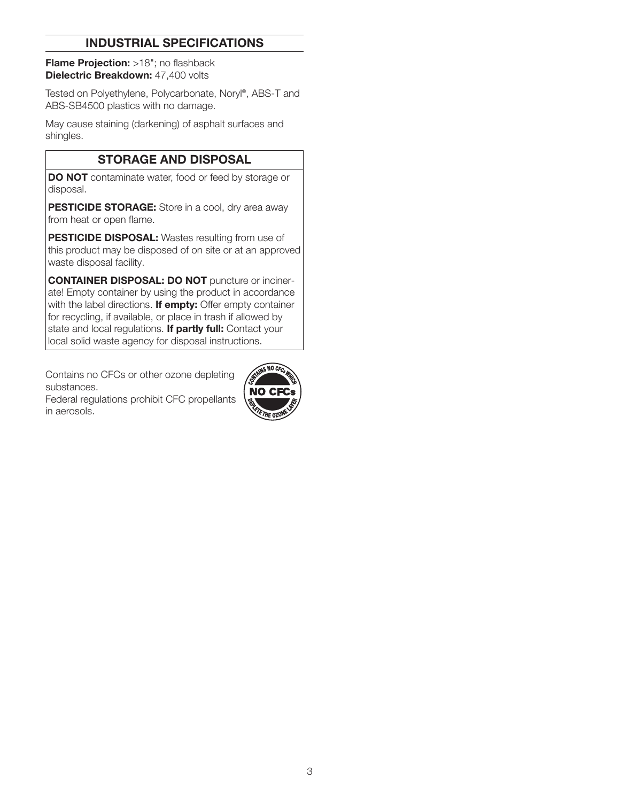## INDUSTRIAL SPECIFICATIONS

Flame Projection: >18"; no flashback Dielectric Breakdown: 47,400 volts

Tested on Polyethylene, Polycarbonate, Noryl®, ABS-T and ABS-SB4500 plastics with no damage.

May cause staining (darkening) of asphalt surfaces and shingles.

## STORAGE AND DISPOSAL

DO NOT contaminate water, food or feed by storage or disposal.

PESTICIDE STORAGE: Store in a cool, dry area away from heat or open flame.

PESTICIDE DISPOSAL: Wastes resulting from use of this product may be disposed of on site or at an approved waste disposal facility.

CONTAINER DISPOSAL: DO NOT puncture or incinerate! Empty container by using the product in accordance with the label directions. If empty: Offer empty container for recycling, if available, or place in trash if allowed by state and local regulations. If partly full: Contact your local solid waste agency for disposal instructions.

Contains no CFCs or other ozone depleting substances.

Federal regulations prohibit CFC propellants in aerosols.